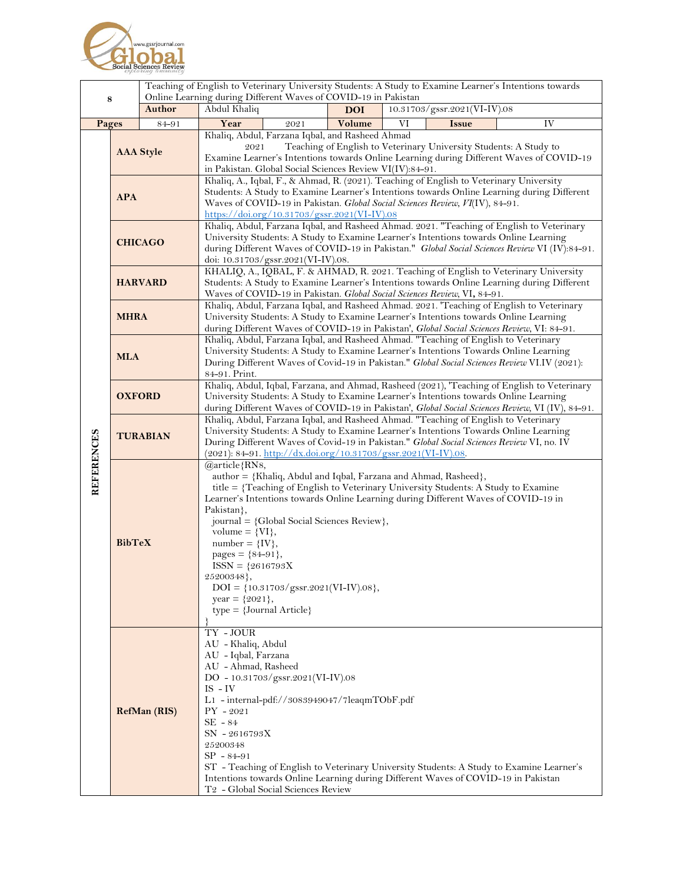

|                   |                                |        | Teaching of English to Veterinary University Students: A Study to Examine Learner's Intentions towards<br>Online Learning during Different Waves of COVID-19 in Pakistan                                                                                                                                                                                                                                                                                                                                                                                     |            |    |                              |    |
|-------------------|--------------------------------|--------|--------------------------------------------------------------------------------------------------------------------------------------------------------------------------------------------------------------------------------------------------------------------------------------------------------------------------------------------------------------------------------------------------------------------------------------------------------------------------------------------------------------------------------------------------------------|------------|----|------------------------------|----|
| 8                 |                                | Author | Abdul Khaliq                                                                                                                                                                                                                                                                                                                                                                                                                                                                                                                                                 | <b>DOI</b> |    | 10.31703/gssr.2021(VI-IV).08 |    |
| Pages             |                                | 84-91  | Year<br>2021                                                                                                                                                                                                                                                                                                                                                                                                                                                                                                                                                 | Volume     | VI | <b>Issue</b>                 | IV |
| <b>REFERENCES</b> | <b>AAA</b> Style<br><b>APA</b> |        | Khaliq, Abdul, Farzana Iqbal, and Rasheed Ahmad<br>Teaching of English to Veterinary University Students: A Study to<br>2021<br>Examine Learner's Intentions towards Online Learning during Different Waves of COVID-19<br>in Pakistan. Global Social Sciences Review VI(IV):84-91.<br>Khaliq, A., Iqbal, F., & Ahmad, R. (2021). Teaching of English to Veterinary University<br>Students: A Study to Examine Learner's Intentions towards Online Learning during Different<br>Waves of COVID-19 in Pakistan. Global Social Sciences Review, VI(IV), 84-91. |            |    |                              |    |
|                   | <b>CHICAGO</b>                 |        | https://doi.org/10.31703/gssr.2021(VI-IV).08<br>Khaliq, Abdul, Farzana Iqbal, and Rasheed Ahmad. 2021. "Teaching of English to Veterinary<br>University Students: A Study to Examine Learner's Intentions towards Online Learning<br>during Different Waves of COVID-19 in Pakistan." Global Social Sciences Review VI (IV):84-91.<br>doi: 10.31703/gssr.2021(VI-IV).08.                                                                                                                                                                                     |            |    |                              |    |
|                   | <b>HARVARD</b>                 |        | KHALIQ, A., IQBAL, F. & AHMAD, R. 2021. Teaching of English to Veterinary University<br>Students: A Study to Examine Learner's Intentions towards Online Learning during Different<br>Waves of COVID-19 in Pakistan. Global Social Sciences Review, VI, 84-91.                                                                                                                                                                                                                                                                                               |            |    |                              |    |
|                   | <b>MHRA</b>                    |        | Khaliq, Abdul, Farzana Iqbal, and Rasheed Ahmad. 2021. 'Teaching of English to Veterinary<br>University Students: A Study to Examine Learner's Intentions towards Online Learning<br>during Different Waves of COVID-19 in Pakistan', Global Social Sciences Review, VI: 84-91.                                                                                                                                                                                                                                                                              |            |    |                              |    |
|                   | <b>MLA</b>                     |        | Khaliq, Abdul, Farzana Iqbal, and Rasheed Ahmad. "Teaching of English to Veterinary<br>University Students: A Study to Examine Learner's Intentions Towards Online Learning<br>During Different Waves of Covid-19 in Pakistan." Global Social Sciences Review VI.IV (2021):<br>84-91. Print.                                                                                                                                                                                                                                                                 |            |    |                              |    |
|                   | <b>OXFORD</b>                  |        | Khaliq, Abdul, Iqbal, Farzana, and Ahmad, Rasheed (2021), 'Teaching of English to Veterinary<br>University Students: A Study to Examine Learner's Intentions towards Online Learning<br>during Different Waves of COVID-19 in Pakistan', Global Social Sciences Review, VI (IV), 84-91.                                                                                                                                                                                                                                                                      |            |    |                              |    |
|                   | <b>TURABIAN</b>                |        | Khaliq, Abdul, Farzana Iqbal, and Rasheed Ahmad. "Teaching of English to Veterinary<br>University Students: A Study to Examine Learner's Intentions Towards Online Learning<br>During Different Waves of Covid-19 in Pakistan." Global Social Sciences Review VI, no. IV<br>$(2021): 84-91.$ http://dx.doi.org/10.31703/gssr.2021(VI-IV).08.                                                                                                                                                                                                                 |            |    |                              |    |
|                   | <b>BibTeX</b>                  |        | @article{RN8,<br>author = {Khaliq, Abdul and Iqbal, Farzana and Ahmad, Rasheed},<br>title = {Teaching of English to Veterinary University Students: A Study to Examine<br>Learner's Intentions towards Online Learning during Different Waves of COVID-19 in<br>Pakistan},<br>journal = {Global Social Sciences Review},<br>volume = $\{VI\},\$<br>number = $\{IV\},\$<br>pages = ${84-91}$ ,<br>$ISSN = {2616793X}$<br>25200348},<br>$DOI = \{10.31703/gssr.2021(VI-IV).08\},\$<br>year = ${2021}$ ,<br>$type = {Journal Article}$                          |            |    |                              |    |
|                   | <b>RefMan (RIS)</b>            |        | TY - JOUR<br>AU - Khaliq, Abdul<br>AU - Iqbal, Farzana<br>AU - Ahmad, Rasheed<br>DO - $10.31703/gssr.2021(VI-IV).08$<br>$IS - IV$<br>$L1$ - internal-pdf://3083949047/7leaqmTObF.pdf<br>$PY - 2021$<br>$SE - 84$<br>SN - 2616793X<br>25200348<br>$SP - 84 - 91$<br>ST - Teaching of English to Veterinary University Students: A Study to Examine Learner's<br>Intentions towards Online Learning during Different Waves of COVID-19 in Pakistan<br>T2 - Global Social Sciences Review                                                                       |            |    |                              |    |